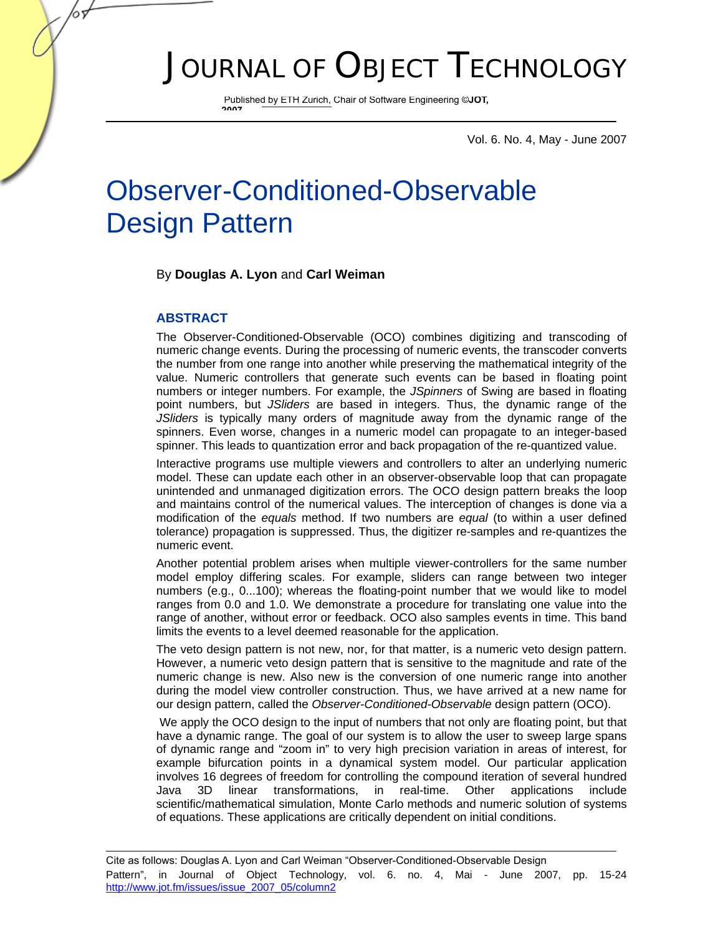# JOURNAL OF OBJECT TECHNOLOGY

Published by ETH Zurich, Chair of Software Engineering ©**JOT, 2007**

Vol. 6. No. 4, May - June 2007

# Observer-Conditioned-Observable Design Pattern

#### By **Douglas A. Lyon** and **Carl Weiman**

#### **ABSTRACT**

The Observer-Conditioned-Observable (OCO) combines digitizing and transcoding of numeric change events. During the processing of numeric events, the transcoder converts the number from one range into another while preserving the mathematical integrity of the value. Numeric controllers that generate such events can be based in floating point numbers or integer numbers. For example, the *JSpinners* of Swing are based in floating point numbers, but *JSliders* are based in integers. Thus, the dynamic range of the *JSliders* is typically many orders of magnitude away from the dynamic range of the spinners. Even worse, changes in a numeric model can propagate to an integer-based spinner. This leads to quantization error and back propagation of the re-quantized value.

Interactive programs use multiple viewers and controllers to alter an underlying numeric model. These can update each other in an observer-observable loop that can propagate unintended and unmanaged digitization errors. The OCO design pattern breaks the loop and maintains control of the numerical values. The interception of changes is done via a modification of the *equals* method. If two numbers are *equal* (to within a user defined tolerance) propagation is suppressed. Thus, the digitizer re-samples and re-quantizes the numeric event.

Another potential problem arises when multiple viewer-controllers for the same number model employ differing scales. For example, sliders can range between two integer numbers (e.g., 0...100); whereas the floating-point number that we would like to model ranges from 0.0 and 1.0. We demonstrate a procedure for translating one value into the range of another, without error or feedback. OCO also samples events in time. This band limits the events to a level deemed reasonable for the application.

The veto design pattern is not new, nor, for that matter, is a numeric veto design pattern. However, a numeric veto design pattern that is sensitive to the magnitude and rate of the numeric change is new. Also new is the conversion of one numeric range into another during the model view controller construction. Thus, we have arrived at a new name for our design pattern, called the *Observer-Conditioned-Observable* design pattern (OCO).

We apply the OCO design to the input of numbers that not only are floating point, but that have a dynamic range. The goal of our system is to allow the user to sweep large spans of dynamic range and "zoom in" to very high precision variation in areas of interest, for example bifurcation points in a dynamical system model. Our particular application involves 16 degrees of freedom for controlling the compound iteration of several hundred Java 3D linear transformations, in real-time. Other applications include scientific/mathematical simulation, Monte Carlo methods and numeric solution of systems of equations. These applications are critically dependent on initial conditions.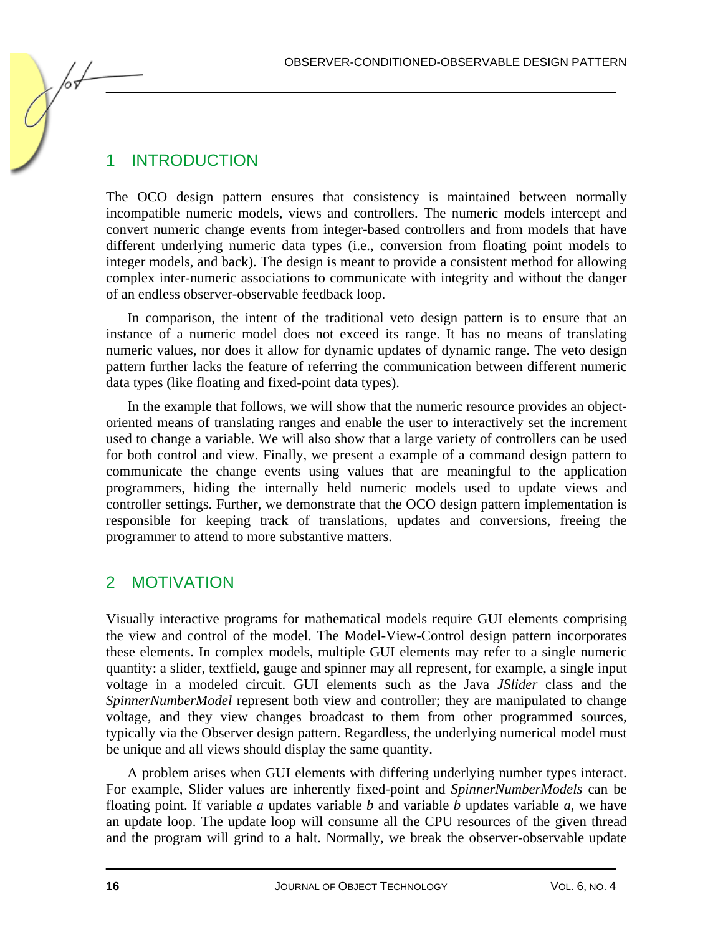## 1 INTRODUCTION

The OCO design pattern ensures that consistency is maintained between normally incompatible numeric models, views and controllers. The numeric models intercept and convert numeric change events from integer-based controllers and from models that have different underlying numeric data types (i.e., conversion from floating point models to integer models, and back). The design is meant to provide a consistent method for allowing complex inter-numeric associations to communicate with integrity and without the danger of an endless observer-observable feedback loop.

In comparison, the intent of the traditional veto design pattern is to ensure that an instance of a numeric model does not exceed its range. It has no means of translating numeric values, nor does it allow for dynamic updates of dynamic range. The veto design pattern further lacks the feature of referring the communication between different numeric data types (like floating and fixed-point data types).

In the example that follows, we will show that the numeric resource provides an objectoriented means of translating ranges and enable the user to interactively set the increment used to change a variable. We will also show that a large variety of controllers can be used for both control and view. Finally, we present a example of a command design pattern to communicate the change events using values that are meaningful to the application programmers, hiding the internally held numeric models used to update views and controller settings. Further, we demonstrate that the OCO design pattern implementation is responsible for keeping track of translations, updates and conversions, freeing the programmer to attend to more substantive matters.

## 2 MOTIVATION

Visually interactive programs for mathematical models require GUI elements comprising the view and control of the model. The Model-View-Control design pattern incorporates these elements. In complex models, multiple GUI elements may refer to a single numeric quantity: a slider, textfield, gauge and spinner may all represent, for example, a single input voltage in a modeled circuit. GUI elements such as the Java *JSlider* class and the *SpinnerNumberModel* represent both view and controller; they are manipulated to change voltage, and they view changes broadcast to them from other programmed sources, typically via the Observer design pattern. Regardless, the underlying numerical model must be unique and all views should display the same quantity.

A problem arises when GUI elements with differing underlying number types interact. For example, Slider values are inherently fixed-point and *SpinnerNumberModels* can be floating point. If variable *a* updates variable *b* and variable *b* updates variable *a*, we have an update loop. The update loop will consume all the CPU resources of the given thread and the program will grind to a halt. Normally, we break the observer-observable update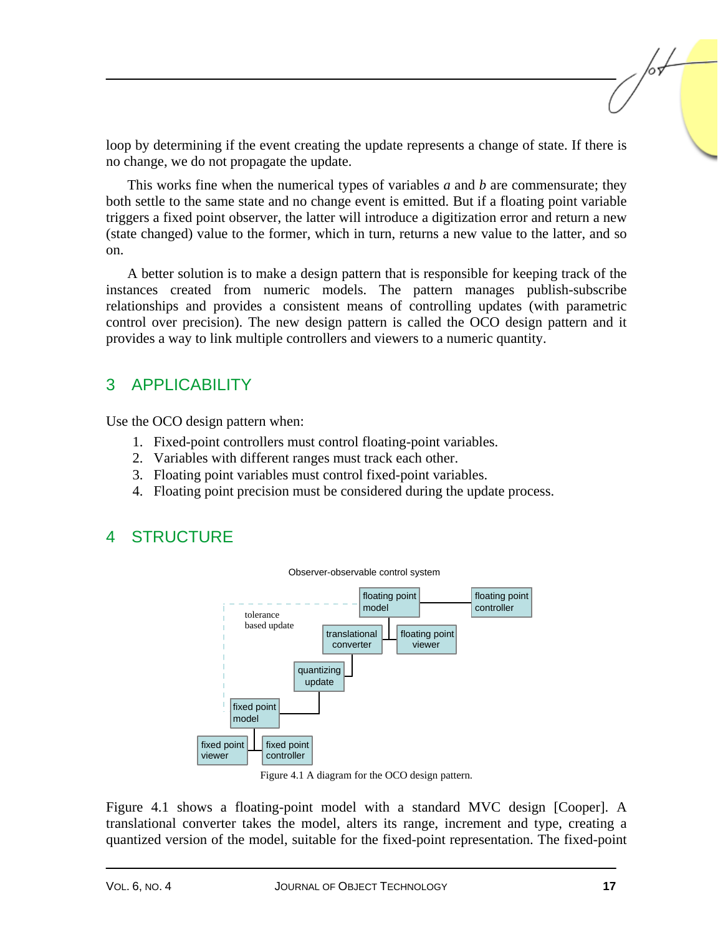loop by determining if the event creating the update represents a change of state. If there is no change, we do not propagate the update.

This works fine when the numerical types of variables *a* and *b* are commensurate; they both settle to the same state and no change event is emitted. But if a floating point variable triggers a fixed point observer, the latter will introduce a digitization error and return a new (state changed) value to the former, which in turn, returns a new value to the latter, and so on.

A better solution is to make a design pattern that is responsible for keeping track of the instances created from numeric models. The pattern manages publish-subscribe relationships and provides a consistent means of controlling updates (with parametric control over precision). The new design pattern is called the OCO design pattern and it provides a way to link multiple controllers and viewers to a numeric quantity.

# 3 APPLICABILITY

Use the OCO design pattern when:

- 1. Fixed-point controllers must control floating-point variables.
- 2. Variables with different ranges must track each other.
- 3. Floating point variables must control fixed-point variables.
- 4. Floating point precision must be considered during the update process.

## 4 STRUCTURE



Figure 4.1 A diagram for the OCO design pattern.

Figure 4.1 shows a floating-point model with a standard MVC design [Cooper]. A translational converter takes the model, alters its range, increment and type, creating a quantized version of the model, suitable for the fixed-point representation. The fixed-point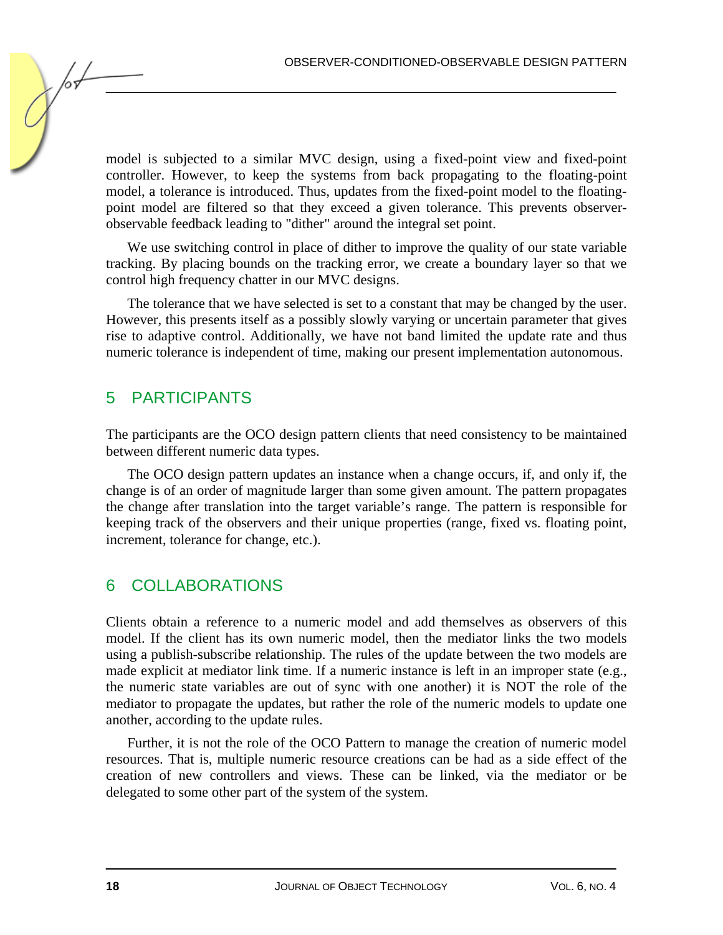model is subjected to a similar MVC design, using a fixed-point view and fixed-point controller. However, to keep the systems from back propagating to the floating-point model, a tolerance is introduced. Thus, updates from the fixed-point model to the floatingpoint model are filtered so that they exceed a given tolerance. This prevents observerobservable feedback leading to "dither" around the integral set point.

We use switching control in place of dither to improve the quality of our state variable tracking. By placing bounds on the tracking error, we create a boundary layer so that we control high frequency chatter in our MVC designs.

The tolerance that we have selected is set to a constant that may be changed by the user. However, this presents itself as a possibly slowly varying or uncertain parameter that gives rise to adaptive control. Additionally, we have not band limited the update rate and thus numeric tolerance is independent of time, making our present implementation autonomous.

# 5 PARTICIPANTS

The participants are the OCO design pattern clients that need consistency to be maintained between different numeric data types.

The OCO design pattern updates an instance when a change occurs, if, and only if, the change is of an order of magnitude larger than some given amount. The pattern propagates the change after translation into the target variable's range. The pattern is responsible for keeping track of the observers and their unique properties (range, fixed vs. floating point, increment, tolerance for change, etc.).

# 6 COLLABORATIONS

Clients obtain a reference to a numeric model and add themselves as observers of this model. If the client has its own numeric model, then the mediator links the two models using a publish-subscribe relationship. The rules of the update between the two models are made explicit at mediator link time. If a numeric instance is left in an improper state (e.g., the numeric state variables are out of sync with one another) it is NOT the role of the mediator to propagate the updates, but rather the role of the numeric models to update one another, according to the update rules.

Further, it is not the role of the OCO Pattern to manage the creation of numeric model resources. That is, multiple numeric resource creations can be had as a side effect of the creation of new controllers and views. These can be linked, via the mediator or be delegated to some other part of the system of the system.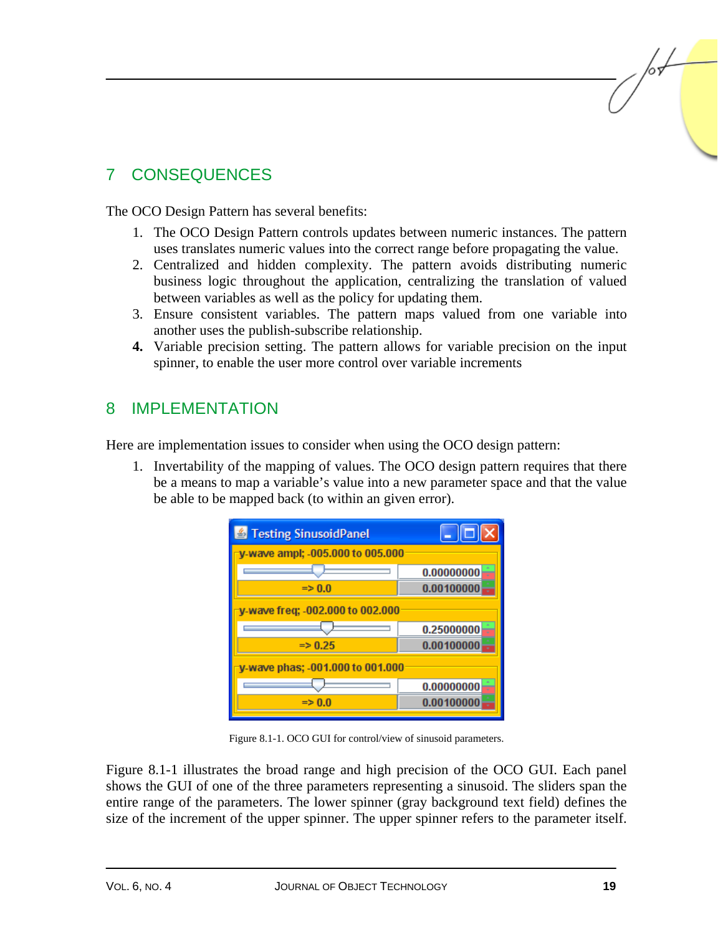# 7 CONSEQUENCES

The OCO Design Pattern has several benefits:

- 1. The OCO Design Pattern controls updates between numeric instances. The pattern uses translates numeric values into the correct range before propagating the value.
- 2. Centralized and hidden complexity. The pattern avoids distributing numeric business logic throughout the application, centralizing the translation of valued between variables as well as the policy for updating them.
- 3. Ensure consistent variables. The pattern maps valued from one variable into another uses the publish-subscribe relationship.
- **4.** Variable precision setting. The pattern allows for variable precision on the input spinner, to enable the user more control over variable increments

## 8 IMPLEMENTATION

Here are implementation issues to consider when using the OCO design pattern:

1. Invertability of the mapping of values. The OCO design pattern requires that there be a means to map a variable's value into a new parameter space and that the value be able to be mapped back (to within an given error).

| Festing SinusoidPanel            | $\mathbf{L}$ $\mathbf{E}$ |
|----------------------------------|---------------------------|
| v-wave ampl; -005.000 to 005.000 |                           |
|                                  | 0.00000000                |
| $\Rightarrow 0.0$                | 0.00100000                |
| v-wave freg: -002.000 to 002.000 |                           |
|                                  | 0.25000000                |
| $\Rightarrow 0.25$               | 0.00100000                |
| y-wave phas; -001.000 to 001.000 |                           |
|                                  | 0.00000000                |
| $\Rightarrow 0.0$                | 0.00100000                |

Figure 8.1-1. OCO GUI for control/view of sinusoid parameters.

Figure 8.1-1 illustrates the broad range and high precision of the OCO GUI. Each panel shows the GUI of one of the three parameters representing a sinusoid. The sliders span the entire range of the parameters. The lower spinner (gray background text field) defines the size of the increment of the upper spinner. The upper spinner refers to the parameter itself.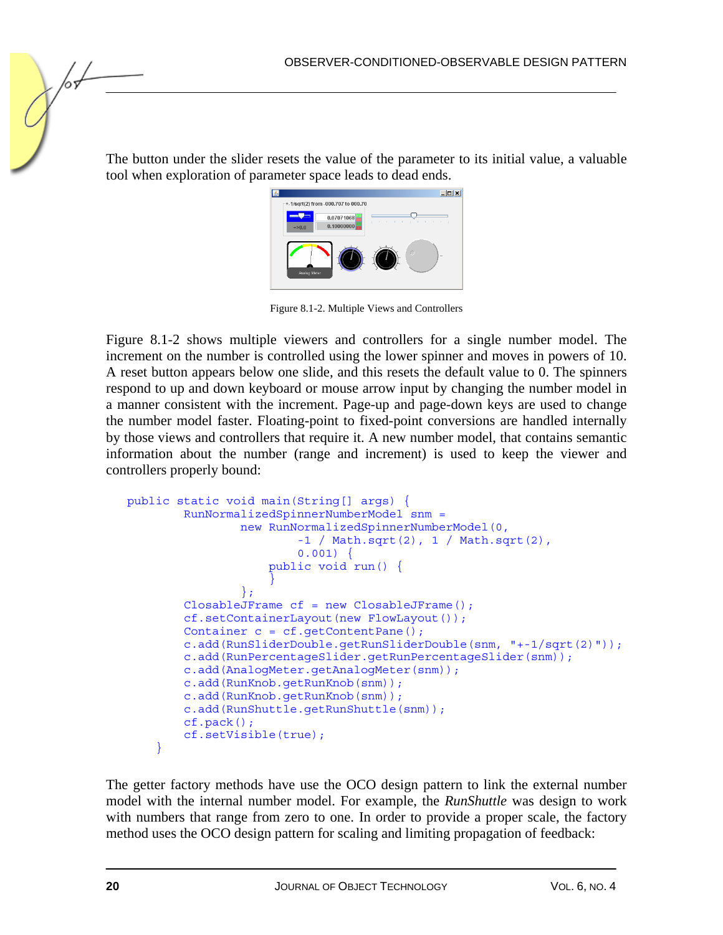The button under the slider resets the value of the parameter to its initial value, a valuable tool when exploration of parameter space leads to dead ends.



Figure 8.1-2. Multiple Views and Controllers

Figure 8.1-2 shows multiple viewers and controllers for a single number model. The increment on the number is controlled using the lower spinner and moves in powers of 10. A reset button appears below one slide, and this resets the default value to 0. The spinners respond to up and down keyboard or mouse arrow input by changing the number model in a manner consistent with the increment. Page-up and page-down keys are used to change the number model faster. Floating-point to fixed-point conversions are handled internally by those views and controllers that require it. A new number model, that contains semantic information about the number (range and increment) is used to keep the viewer and controllers properly bound:

```
public static void main(String[] args) { 
        RunNormalizedSpinnerNumberModel snm = 
                new RunNormalizedSpinnerNumberModel(0, 
                       -1 / Math.sqrt(2), 1 / Math.sqrt(2),
                       0.001) {
                    public void run() { 
} 
}; 
        ClosableJFrame cf = new ClosableJFrame(); 
        cf.setContainerLayout(new FlowLayout()); 
        Container c = cf.getContentPane(); 
        c.add(RunSliderDouble.getRunSliderDouble(snm, "+-1/sqrt(2)")); 
        c.add(RunPercentageSlider.getRunPercentageSlider(snm)); 
        c.add(AnalogMeter.getAnalogMeter(snm)); 
        c.add(RunKnob.getRunKnob(snm)); 
        c.add(RunKnob.getRunKnob(snm)); 
        c.add(RunShuttle.getRunShuttle(snm)); 
        cf.pack(); 
        cf.setVisible(true); 
    }
```
The getter factory methods have use the OCO design pattern to link the external number model with the internal number model. For example, the *RunShuttle* was design to work with numbers that range from zero to one. In order to provide a proper scale, the factory method uses the OCO design pattern for scaling and limiting propagation of feedback: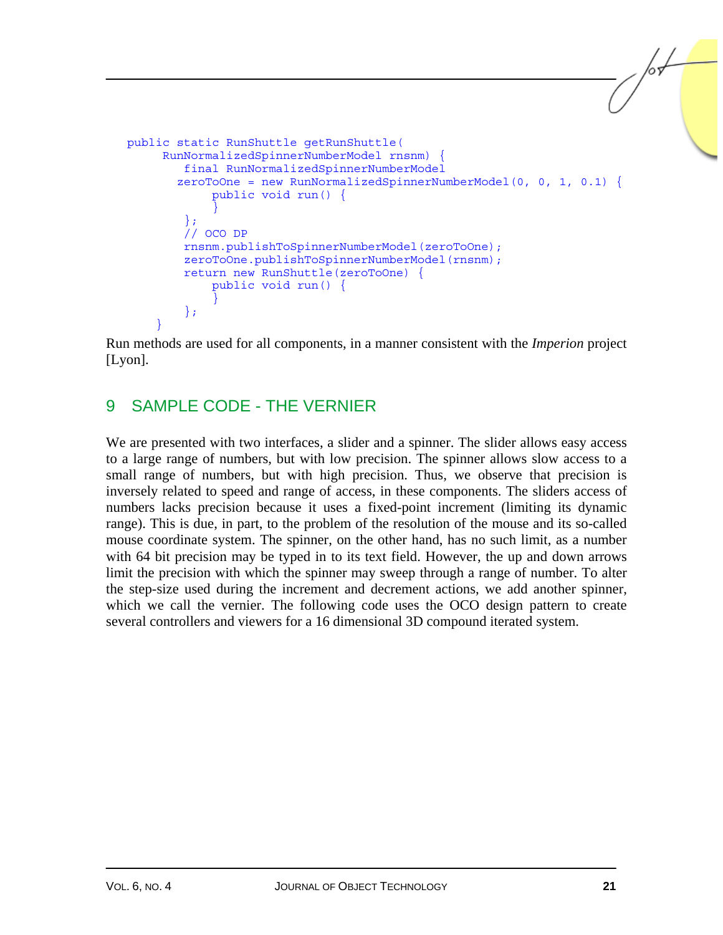```
public static RunShuttle getRunShuttle( 
     RunNormalizedSpinnerNumberModel rnsnm) { 
        final RunNormalizedSpinnerNumberModel 
      zeroToOne = new RunNormalizedSpinnerNumberModel(0, 0, 1, 0.1) \{ public void run() { 
} 
        }; 
        // OCO DP 
        rnsnm.publishToSpinnerNumberModel(zeroToOne); 
        zeroToOne.publishToSpinnerNumberModel(rnsnm); 
        return new RunShuttle(zeroToOne) { 
            public void run() { 
} 
        }; 
}
```
Run methods are used for all components, in a manner consistent with the *Imperion* project [Lyon].

### 9 SAMPLE CODE - THE VERNIER

We are presented with two interfaces, a slider and a spinner. The slider allows easy access to a large range of numbers, but with low precision. The spinner allows slow access to a small range of numbers, but with high precision. Thus, we observe that precision is inversely related to speed and range of access, in these components. The sliders access of numbers lacks precision because it uses a fixed-point increment (limiting its dynamic range). This is due, in part, to the problem of the resolution of the mouse and its so-called mouse coordinate system. The spinner, on the other hand, has no such limit, as a number with 64 bit precision may be typed in to its text field. However, the up and down arrows limit the precision with which the spinner may sweep through a range of number. To alter the step-size used during the increment and decrement actions, we add another spinner, which we call the vernier. The following code uses the OCO design pattern to create several controllers and viewers for a 16 dimensional 3D compound iterated system.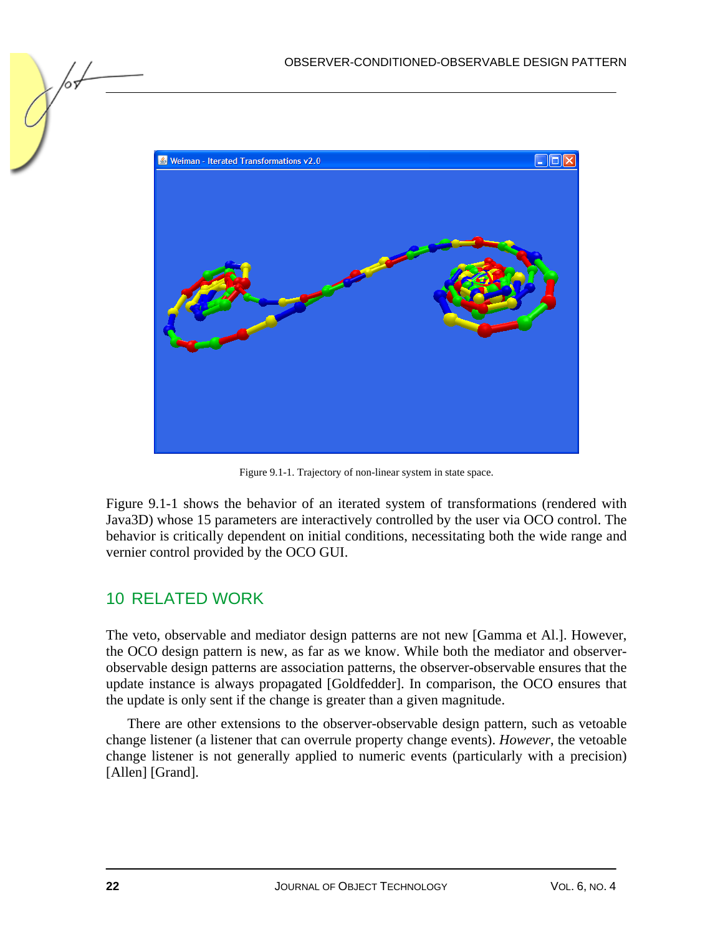

Figure 9.1-1. Trajectory of non-linear system in state space.

Figure 9.1-1 shows the behavior of an iterated system of transformations (rendered with Java3D) whose 15 parameters are interactively controlled by the user via OCO control. The behavior is critically dependent on initial conditions, necessitating both the wide range and vernier control provided by the OCO GUI.

# 10 RELATED WORK

The veto, observable and mediator design patterns are not new [Gamma et Al.]. However, the OCO design pattern is new, as far as we know. While both the mediator and observerobservable design patterns are association patterns, the observer-observable ensures that the update instance is always propagated [Goldfedder]. In comparison, the OCO ensures that the update is only sent if the change is greater than a given magnitude.

There are other extensions to the observer-observable design pattern, such as vetoable change listener (a listener that can overrule property change events). *However*, the vetoable change listener is not generally applied to numeric events (particularly with a precision) [Allen] [Grand].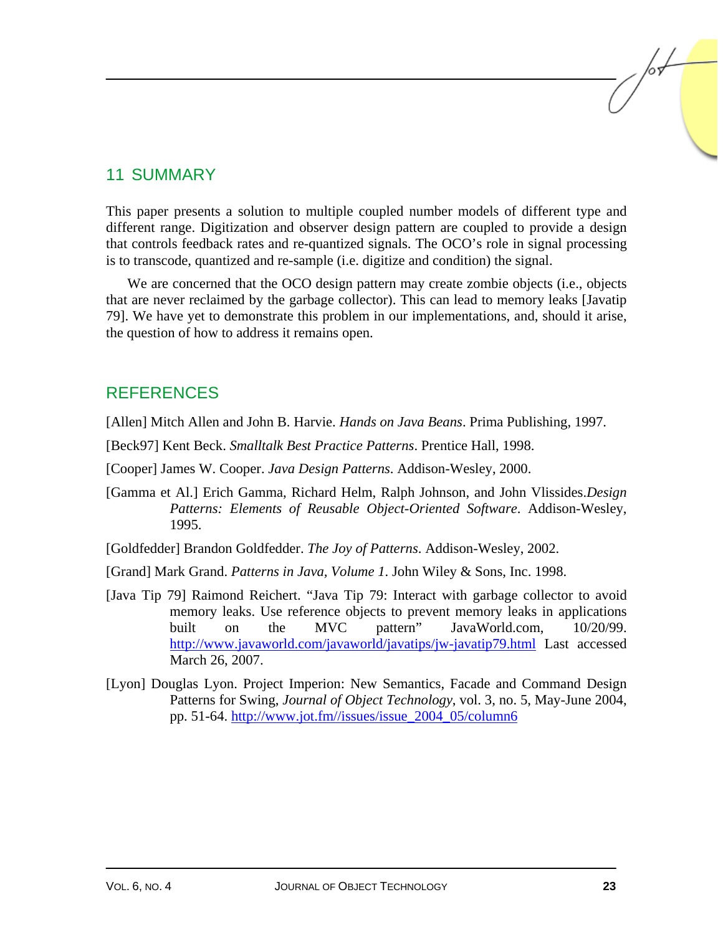#### 11 SUMMARY

This paper presents a solution to multiple coupled number models of different type and different range. Digitization and observer design pattern are coupled to provide a design that controls feedback rates and re-quantized signals. The OCO's role in signal processing is to transcode, quantized and re-sample (i.e. digitize and condition) the signal.

We are concerned that the OCO design pattern may create zombie objects (i.e., objects that are never reclaimed by the garbage collector). This can lead to memory leaks [Javatip 79]. We have yet to demonstrate this problem in our implementations, and, should it arise, the question of how to address it remains open.

#### REFERENCES

- [Allen] Mitch Allen and John B. Harvie. *Hands on Java Beans*. Prima Publishing, 1997.
- [Beck97] Kent Beck. *Smalltalk Best Practice Patterns*. Prentice Hall, 1998.
- [Cooper] James W. Cooper. *Java Design Patterns*. Addison-Wesley, 2000.
- [Gamma et Al.] Erich Gamma, Richard Helm, Ralph Johnson, and John Vlissides.*Design Patterns: Elements of Reusable Object-Oriented Software*. Addison-Wesley, 1995.
- [Goldfedder] Brandon Goldfedder. *The Joy of Patterns*. Addison-Wesley, 2002.
- [Grand] Mark Grand. *Patterns in Java, Volume 1*. John Wiley & Sons, Inc. 1998.
- [Java Tip 79] Raimond Reichert. "Java Tip 79: Interact with garbage collector to avoid memory leaks. Use reference objects to prevent memory leaks in applications built on the MVC pattern" JavaWorld.com, 10/20/99. http://www.javaworld.com/javaworld/javatips/jw-javatip79.html Last accessed March 26, 2007.
- [Lyon] Douglas Lyon. Project Imperion: New Semantics, Facade and Command Design Patterns for Swing, *Journal of Object Technology*, vol. 3, no. 5, May-June 2004, pp. 51-64. http://www.jot.fm//issues/issue\_2004\_05/column6

for-